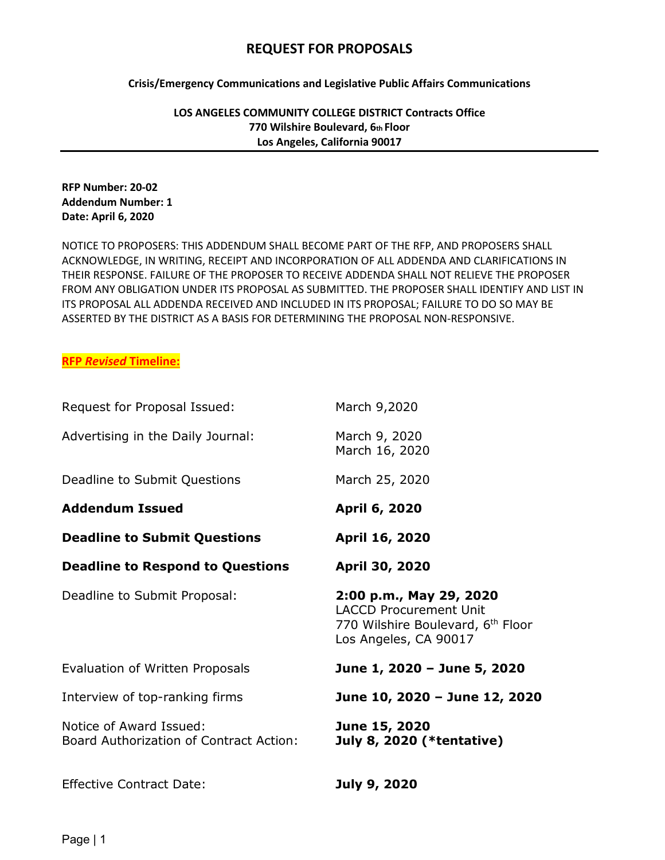# **REQUEST FOR PROPOSALS**

**Crisis/Emergency Communications and Legislative Public Affairs Communications**

**LOS ANGELES COMMUNITY COLLEGE DISTRICT Contracts Office 770 Wilshire Boulevard, 6th Floor Los Angeles, California 90017**

## **RFP Number: 20-02 Addendum Number: 1 Date: April 6, 2020**

NOTICE TO PROPOSERS: THIS ADDENDUM SHALL BECOME PART OF THE RFP, AND PROPOSERS SHALL ACKNOWLEDGE, IN WRITING, RECEIPT AND INCORPORATION OF ALL ADDENDA AND CLARIFICATIONS IN THEIR RESPONSE. FAILURE OF THE PROPOSER TO RECEIVE ADDENDA SHALL NOT RELIEVE THE PROPOSER FROM ANY OBLIGATION UNDER ITS PROPOSAL AS SUBMITTED. THE PROPOSER SHALL IDENTIFY AND LIST IN ITS PROPOSAL ALL ADDENDA RECEIVED AND INCLUDED IN ITS PROPOSAL; FAILURE TO DO SO MAY BE ASSERTED BY THE DISTRICT AS A BASIS FOR DETERMINING THE PROPOSAL NON-RESPONSIVE.

## **RFP** *Revised* **Timeline:**

| Request for Proposal Issued:                                       | March 9,2020                                                                                                                       |
|--------------------------------------------------------------------|------------------------------------------------------------------------------------------------------------------------------------|
| Advertising in the Daily Journal:                                  | March 9, 2020<br>March 16, 2020                                                                                                    |
| Deadline to Submit Questions                                       | March 25, 2020                                                                                                                     |
| <b>Addendum Issued</b>                                             | April 6, 2020                                                                                                                      |
| <b>Deadline to Submit Questions</b>                                | April 16, 2020                                                                                                                     |
| <b>Deadline to Respond to Questions</b>                            | April 30, 2020                                                                                                                     |
| Deadline to Submit Proposal:                                       | 2:00 p.m., May 29, 2020<br><b>LACCD Procurement Unit</b><br>770 Wilshire Boulevard, 6 <sup>th</sup> Floor<br>Los Angeles, CA 90017 |
| Evaluation of Written Proposals                                    | June 1, 2020 - June 5, 2020                                                                                                        |
| Interview of top-ranking firms                                     | June 10, 2020 - June 12, 2020                                                                                                      |
| Notice of Award Issued:<br>Board Authorization of Contract Action: | June 15, 2020<br><b>July 8, 2020 (*tentative)</b>                                                                                  |
| <b>Effective Contract Date:</b>                                    | <b>July 9, 2020</b>                                                                                                                |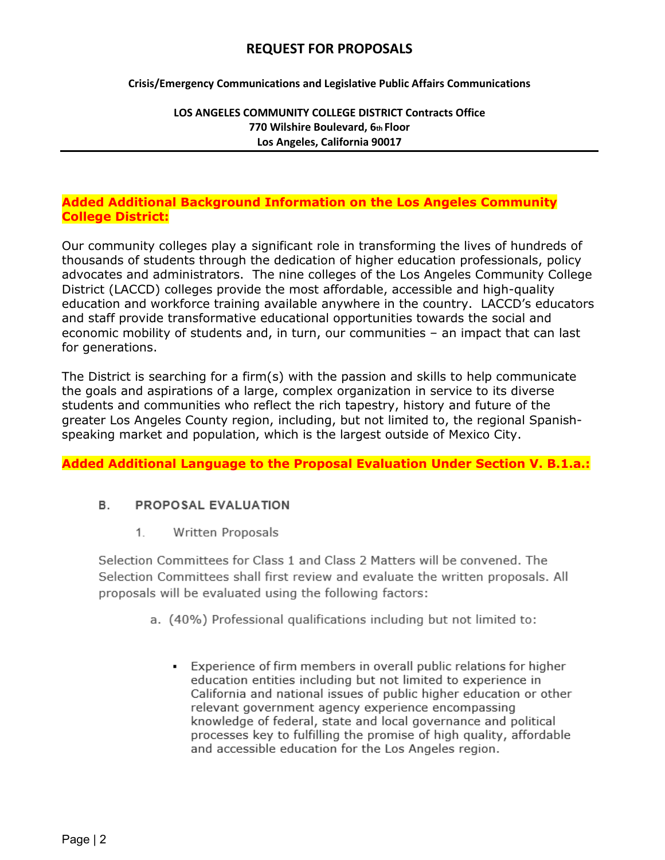# **REQUEST FOR PROPOSALS**

**Crisis/Emergency Communications and Legislative Public Affairs Communications**

## **LOS ANGELES COMMUNITY COLLEGE DISTRICT Contracts Office 770 Wilshire Boulevard, 6th Floor Los Angeles, California 90017**

## **Added Additional Background Information on the Los Angeles Community College District:**

Our community colleges play a significant role in transforming the lives of hundreds of thousands of students through the dedication of higher education professionals, policy advocates and administrators. The nine colleges of the Los Angeles Community College District (LACCD) colleges provide the most affordable, accessible and high-quality education and workforce training available anywhere in the country. LACCD's educators and staff provide transformative educational opportunities towards the social and economic mobility of students and, in turn, our communities – an impact that can last for generations.

The District is searching for a firm(s) with the passion and skills to help communicate the goals and aspirations of a large, complex organization in service to its diverse students and communities who reflect the rich tapestry, history and future of the greater Los Angeles County region, including, but not limited to, the regional Spanishspeaking market and population, which is the largest outside of Mexico City.

**Added Additional Language to the Proposal Evaluation Under Section V. B.1.a.:**

#### В. **PROPOSAL EVALUATION**

 $1.$ Written Proposals

Selection Committees for Class 1 and Class 2 Matters will be convened. The Selection Committees shall first review and evaluate the written proposals. All proposals will be evaluated using the following factors:

- a. (40%) Professional qualifications including but not limited to:
	- Experience of firm members in overall public relations for higher education entities including but not limited to experience in California and national issues of public higher education or other relevant government agency experience encompassing knowledge of federal, state and local governance and political processes key to fulfilling the promise of high quality, affordable and accessible education for the Los Angeles region.